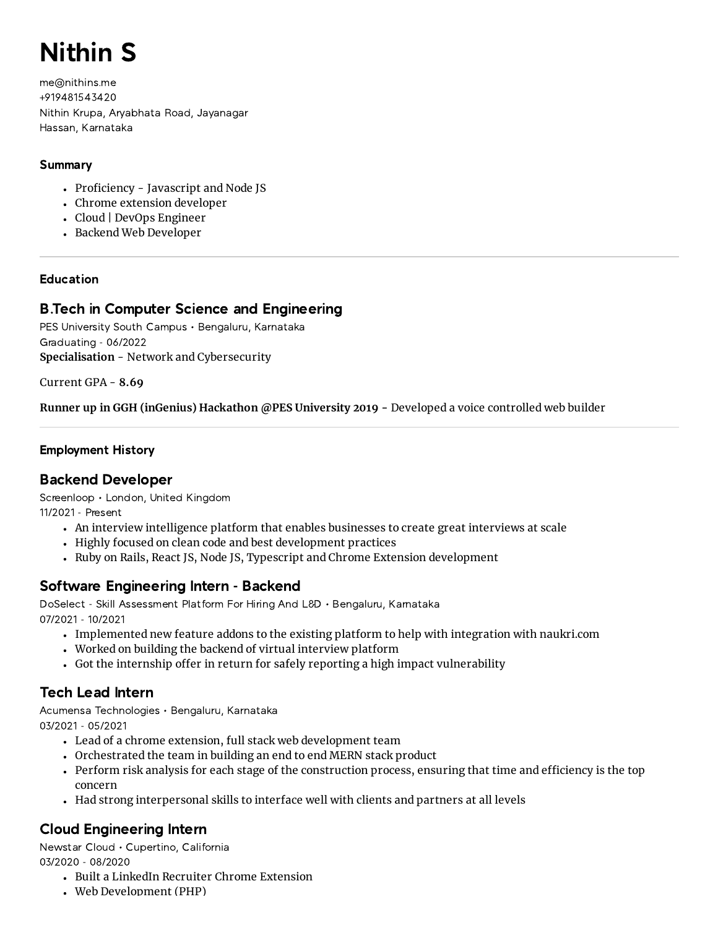# Nithin S

me@nithins.me +919481543420 Nithin Krupa, Aryabhata Road, Jayanagar Hassan, Karnataka

## Summary

- Proficiency Javascript and Node JS
- Chrome extension developer
- Cloud | DevOps Engineer
- Backend Web Developer

# Education

# B.Tech in Computer Science and Engineering

PES University South Campus • Bengaluru, Karnataka Graduating - 06/2022 **Specialisation** - Network and Cybersecurity

Current GPA - **8.69**

**Runner up in GGH (inGenius) Hackathon @PES University 2019 -** Developed a voice controlled web builder

# Employment History

# Backend Developer

Screenloop • London, United Kingdom 11/2021 - Present

- An interview intelligence platform that enables businesses to create great interviews at scale
- Highly focused on clean code and best development practices
- Ruby on Rails, React JS, Node JS, Typescript and Chrome Extension development

# Software Engineering Intern - Backend

DoSelect - Skill Assessment Platform For Hiring And L&D • Bengaluru, Karnataka 07/2021 - 10/2021

- Implemented new feature addons to the existing platform to help with integration with naukri.com
- Worked on building the backend of virtual interview platform
- Got the internship offer in return for safely reporting a high impact vulnerability

# Tech Lead Intern

Acumensa Technologies • Bengaluru, Karnataka 03/2021 - 05/2021

- Lead of a chrome extension, full stack web development team
- Orchestrated the team in building an end to end MERN stack product
- Perform risk analysis for each stage of the construction process, ensuring that time and efficiency is the top concern
- Had strong interpersonal skills to interface well with clients and partners at all levels

# Cloud Engineering Intern

Newstar Cloud • Cupertino, California 03/2020 - 08/2020

- Built a LinkedIn Recruiter Chrome Extension
- Web Development (PHP)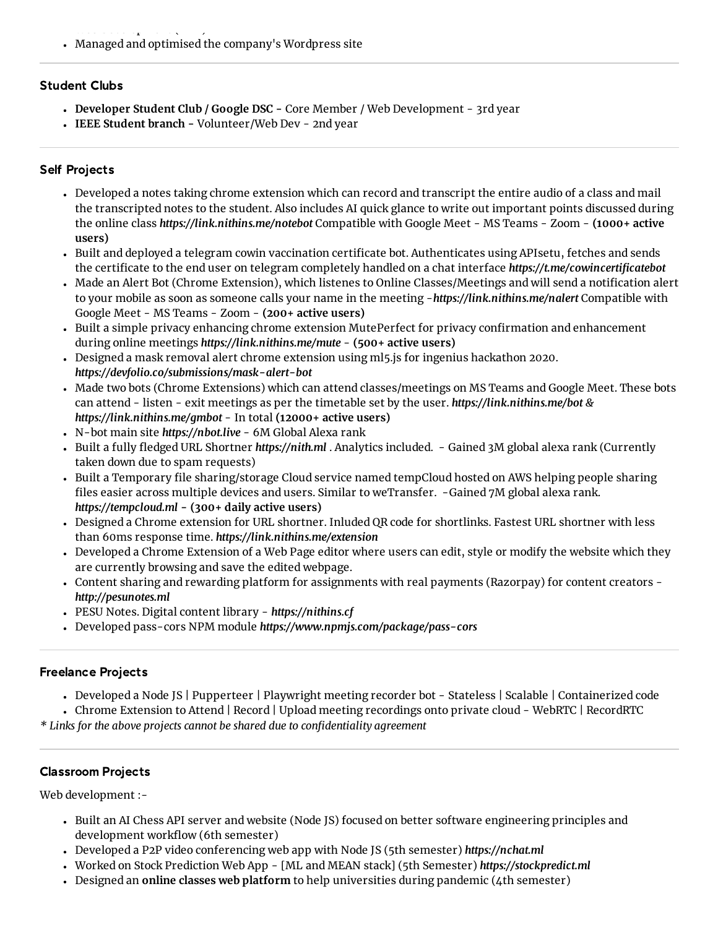$\cdots$  develop to the  $\cdots$ Managed and optimised the company's Wordpress site

## Student Clubs

- **Developer Student Club / Google DSC -** Core Member / Web Development 3rd year
- **IEEE Student branch -** Volunteer/Web Dev 2nd year

## Self Projects

- Developed a notes taking chrome extension which can record and transcript the entire audio of a class and mail the transcripted notes to the student. Also includes AI quick glance to write out important points discussed during the online class *https://link.nithins.me/notebot* Compatible with Google Meet - MS Teams - Zoom - **(1000+ active users)**
- Built and deployed a telegram cowin vaccination certificate bot. Authenticates using APIsetu, fetches and sends the certificate to the end user on telegram completely handled on a chat interface *https://t.me/cowincertificatebot*
- Made an Alert Bot (Chrome Extension), which listenes to Online Classes/Meetings and will send a notification alert to your mobile as soon as someone calls your name in the meeting -*https://link.nithins.me/nalert* Compatible with Google Meet - MS Teams - Zoom - **(200+ active users)**
- Built a simple privacy enhancing chrome extension MutePerfect for privacy confirmation and enhancement during online meetings *https://link.nithins.me/mute* - **(500+ active users)**
- Designed a mask removal alert chrome extension using ml5.js for ingenius hackathon 2020. *https://devfolio.co/submissions/mask-alert-bot*
- Made two bots (Chrome Extensions) which can attend classes/meetings on MS Teams and Google Meet. These bots can attend - listen - exit meetings as per the timetable set by the user. *https://link.nithins.me/bot & https://link.nithins.me/gmbot* - In total **(12000+ active users)**
- N-bot main site *https://nbot.live* 6M Global Alexa rank
- Built a fully fledged URL Shortner *https://nith.ml* . Analytics included. Gained 3M global alexa rank (Currently taken down due to spam requests)
- Built a Temporary file sharing/storage Cloud service named tempCloud hosted on AWS helping people sharing files easier across multiple devices and users. Similar to weTransfer. -Gained 7M global alexa rank. *https://tempcloud.ml* **- (300+ daily active users)**
- Designed a Chrome extension for URL shortner. Inluded QR code for shortlinks. Fastest URL shortner with less than 60ms response time. *https://link.nithins.me/extension*
- Developed a Chrome Extension of a Web Page editor where users can edit, style or modify the website which they are currently browsing and save the edited webpage.
- Content sharing and rewarding platform for assignments with real payments (Razorpay) for content creators *http://pesunotes.ml*
- PESU Notes. Digital content library *https://nithins.cf*
- Developed pass-cors NPM module *https://www.npmjs.com/package/pass-cors*

## Freelance Projects

Developed a Node JS | Pupperteer | Playwright meeting recorder bot - Stateless | Scalable | Containerized code

Chrome Extension to Attend | Record | Upload meeting recordings onto private cloud - WebRTC | RecordRTC

*\* Links for the above projects cannot be shared due to confidentiality agreement*

## Classroom Projects

Web development :-

- Built an AI Chess API server and website (Node JS) focused on better software engineering principles and development workflow (6th semester)
- Developed a P2P video conferencing web app with Node JS (5th semester) *https://nchat.ml*
- Worked on Stock Prediction Web App [ML and MEAN stack] (5th Semester) *https://stockpredict.ml*
- Designed an **online classes web platform** to help universities during pandemic (4th semester)